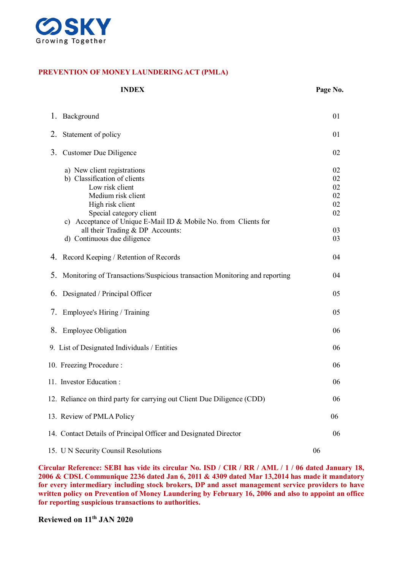

#### **PREVENTION OF MONEY LAUNDERING ACT (PMLA)**

|    | <b>INDEX</b>                                                                                                                                                                                                                                                                              | Page No.                                     |
|----|-------------------------------------------------------------------------------------------------------------------------------------------------------------------------------------------------------------------------------------------------------------------------------------------|----------------------------------------------|
|    | 1. Background                                                                                                                                                                                                                                                                             | 01                                           |
| 2. | Statement of policy                                                                                                                                                                                                                                                                       | 01                                           |
| 3. | Customer Due Diligence                                                                                                                                                                                                                                                                    | 02                                           |
|    | a) New client registrations<br>b) Classification of clients<br>Low risk client<br>Medium risk client<br>High risk client<br>Special category client<br>c) Acceptance of Unique E-Mail ID & Mobile No. from Clients for<br>all their Trading & DP Accounts:<br>d) Continuous due diligence | 02<br>02<br>02<br>02<br>02<br>02<br>03<br>03 |
|    | 4. Record Keeping / Retention of Records                                                                                                                                                                                                                                                  | 04                                           |
| 5. | Monitoring of Transactions/Suspicious transaction Monitoring and reporting                                                                                                                                                                                                                | 04                                           |
| 6. | Designated / Principal Officer                                                                                                                                                                                                                                                            | 05                                           |
|    | 7. Employee's Hiring / Training                                                                                                                                                                                                                                                           | 05                                           |
|    | 8. Employee Obligation                                                                                                                                                                                                                                                                    | 06                                           |
|    | 9. List of Designated Individuals / Entities                                                                                                                                                                                                                                              | 06                                           |
|    | 10. Freezing Procedure:                                                                                                                                                                                                                                                                   | 06                                           |
|    | 11. Investor Education:                                                                                                                                                                                                                                                                   | 06                                           |
|    | 12. Reliance on third party for carrying out Client Due Diligence (CDD)                                                                                                                                                                                                                   | 06                                           |
|    | 13. Review of PMLA Policy                                                                                                                                                                                                                                                                 | 06                                           |
|    | 14. Contact Details of Principal Officer and Designated Director                                                                                                                                                                                                                          | 06                                           |
|    | 15. U N Security Counsil Resolutions                                                                                                                                                                                                                                                      | 06                                           |

**Circular Reference: SEBI has vide its circular No. ISD / CIR / RR / AML / 1 / 06 dated January 18, 2006 & CDSL Communique 2236 dated Jan 6, 2011 & 4309 dated Mar 13,2014 has made it mandatory for every intermediary including stock brokers, DP and asset management service providers to have written policy on Prevention of Money Laundering by February 16, 2006 and also to appoint an office for reporting suspicious transactions to authorities.** 

**Reviewed on 11th JAN 2020**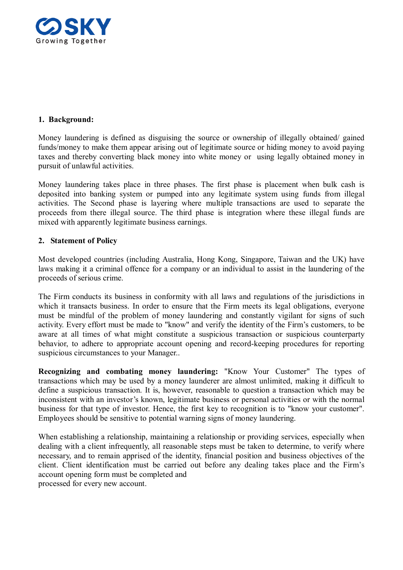

# **1. Background:**

Money laundering is defined as disguising the source or ownership of illegally obtained/ gained funds/money to make them appear arising out of legitimate source or hiding money to avoid paying taxes and thereby converting black money into white money or using legally obtained money in pursuit of unlawful activities.

Money laundering takes place in three phases. The first phase is placement when bulk cash is deposited into banking system or pumped into any legitimate system using funds from illegal activities. The Second phase is layering where multiple transactions are used to separate the proceeds from there illegal source. The third phase is integration where these illegal funds are mixed with apparently legitimate business earnings.

# **2. Statement of Policy**

Most developed countries (including Australia, Hong Kong, Singapore, Taiwan and the UK) have laws making it a criminal offence for a company or an individual to assist in the laundering of the proceeds of serious crime.

The Firm conducts its business in conformity with all laws and regulations of the jurisdictions in which it transacts business. In order to ensure that the Firm meets its legal obligations, everyone must be mindful of the problem of money laundering and constantly vigilant for signs of such activity. Every effort must be made to "know" and verify the identity of the Firm's customers, to be aware at all times of what might constitute a suspicious transaction or suspicious counterparty behavior, to adhere to appropriate account opening and record-keeping procedures for reporting suspicious circumstances to your Manager..

**Recognizing and combating money laundering:** "Know Your Customer" The types of transactions which may be used by a money launderer are almost unlimited, making it difficult to define a suspicious transaction. It is, however, reasonable to question a transaction which may be inconsistent with an investor's known, legitimate business or personal activities or with the normal business for that type of investor. Hence, the first key to recognition is to "know your customer". Employees should be sensitive to potential warning signs of money laundering.

When establishing a relationship, maintaining a relationship or providing services, especially when dealing with a client infrequently, all reasonable steps must be taken to determine, to verify where necessary, and to remain apprised of the identity, financial position and business objectives of the client. Client identification must be carried out before any dealing takes place and the Firm's account opening form must be completed and processed for every new account.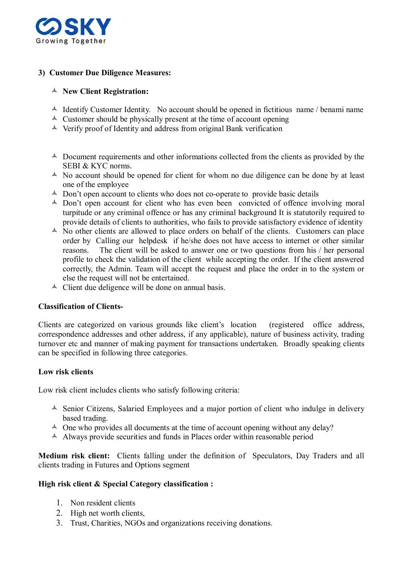

# **3) Customer Due Diligence Measures:**

# **New Client Registration:**

- $\triangle$  Identify Customer Identity. No account should be opened in fictitious name / benami name
- $\triangle$  Customer should be physically present at the time of account opening
- $\triangle$  Verify proof of Identity and address from original Bank verification
- $\triangle$  Document requirements and other informations collected from the clients as provided by the SEBI & KYC norms.
- $\triangle$  No account should be opened for client for whom no due diligence can be done by at least one of the employee
- $\triangle$  Don't open account to clients who does not co-operate to provide basic details
- $\triangle$  Don't open account for client who has even been convicted of offence involving moral turpitude or any criminal offence or has any criminal background It is statutorily required to provide details of clients to authorities, who fails to provide satisfactory evidence of identity
- <sup> $\triangle$ </sup> No other clients are allowed to place orders on behalf of the clients. Customers can place order by Calling our helpdesk if he/she does not have access to internet or other similar reasons. The client will be asked to answer one or two questions from his / her personal profile to check the validation of the client while accepting the order. If the client answered correctly, the Admin. Team will accept the request and place the order in to the system or else the request will not be entertained.
- $\triangle$  Client due deligence will be done on annual basis.

## **Classification of Clients-**

Clients are categorized on various grounds like client's location (registered office address, correspondence addresses and other address, if any applicable), nature of business activity, trading turnover etc and manner of making payment for transactions undertaken. Broadly speaking clients can be specified in following three categories.

## **Low risk clients**

Low risk client includes clients who satisfy following criteria:

- $\triangle$  Senior Citizens, Salaried Employees and a major portion of client who indulge in delivery based trading.
- $\triangle$  One who provides all documents at the time of account opening without any delay?
- Always provide securities and funds in Places order within reasonable period

**Medium risk client:** Clients falling under the definition of Speculators, Day Traders and all clients trading in Futures and Options segment

#### **High risk client & Special Category classification :**

- 1. Non resident clients
- 2. High net worth clients,
- 3. Trust, Charities, NGOs and organizations receiving donations.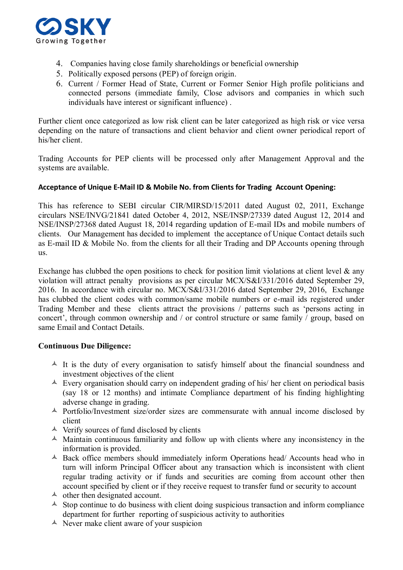

- 4. Companies having close family shareholdings or beneficial ownership
- 5. Politically exposed persons (PEP) of foreign origin.
- 6. Current / Former Head of State, Current or Former Senior High profile politicians and connected persons (immediate family, Close advisors and companies in which such individuals have interest or significant influence) .

Further client once categorized as low risk client can be later categorized as high risk or vice versa depending on the nature of transactions and client behavior and client owner periodical report of his/her client.

Trading Accounts for PEP clients will be processed only after Management Approval and the systems are available.

#### **Acceptance of Unique E-Mail ID & Mobile No. from Clients for Trading Account Opening:**

This has reference to SEBI circular CIR/MIRSD/15/2011 dated August 02, 2011, Exchange circulars NSE/INVG/21841 dated October 4, 2012, NSE/INSP/27339 dated August 12, 2014 and NSE/INSP/27368 dated August 18, 2014 regarding updation of E-mail IDs and mobile numbers of clients. Our Management has decided to implement the acceptance of Unique Contact details such as E-mail ID & Mobile No. from the clients for all their Trading and DP Accounts opening through us.

Exchange has clubbed the open positions to check for position limit violations at client level  $\&$  any violation will attract penalty provisions as per circular MCX/S&I/331/2016 dated September 29, 2016. In accordance with circular no. MCX/S&I/331/2016 dated September 29, 2016, Exchange has clubbed the client codes with common/same mobile numbers or e-mail ids registered under Trading Member and these clients attract the provisions / patterns such as 'persons acting in concert', through common ownership and / or control structure or same family / group, based on same Email and Contact Details.

## **Continuous Due Diligence:**

- $\uparrow$  It is the duty of every organisation to satisfy himself about the financial soundness and investment objectives of the client
- $\triangle$  Every organisation should carry on independent grading of his/ her client on periodical basis (say 18 or 12 months) and intimate Compliance department of his finding highlighting adverse change in grading.
- $\triangle$  Portfolio/Investment size/order sizes are commensurate with annual income disclosed by client
- $\triangle$  Verify sources of fund disclosed by clients
- $\triangle$  Maintain continuous familiarity and follow up with clients where any inconsistency in the information is provided.
- Back office members should immediately inform Operations head/ Accounts head who in turn will inform Principal Officer about any transaction which is inconsistent with client regular trading activity or if funds and securities are coming from account other then account specified by client or if they receive request to transfer fund or security to account
- $\triangle$  other then designated account.
- $\triangle$  Stop continue to do business with client doing suspicious transaction and inform compliance department for further reporting of suspicious activity to authorities
- $\triangle$  Never make client aware of your suspicion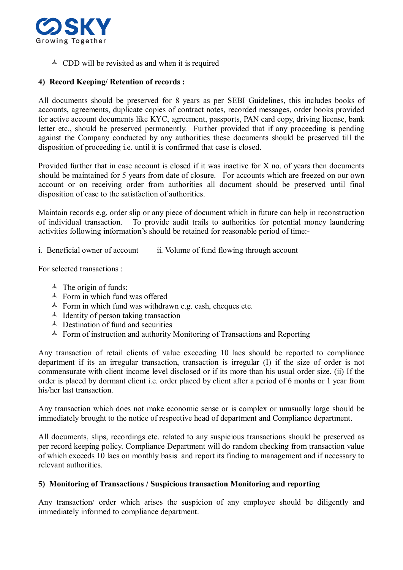

 $\triangle$  CDD will be revisited as and when it is required

# **4) Record Keeping/ Retention of records :**

All documents should be preserved for 8 years as per SEBI Guidelines, this includes books of accounts, agreements, duplicate copies of contract notes, recorded messages, order books provided for active account documents like KYC, agreement, passports, PAN card copy, driving license, bank letter etc., should be preserved permanently. Further provided that if any proceeding is pending against the Company conducted by any authorities these documents should be preserved till the disposition of proceeding i.e. until it is confirmed that case is closed.

Provided further that in case account is closed if it was inactive for X no. of years then documents should be maintained for 5 years from date of closure. For accounts which are freezed on our own account or on receiving order from authorities all document should be preserved until final disposition of case to the satisfaction of authorities.

Maintain records e.g. order slip or any piece of document which in future can help in reconstruction of individual transaction. To provide audit trails to authorities for potential money laundering activities following information's should be retained for reasonable period of time:-

i. Beneficial owner of account ii. Volume of fund flowing through account

For selected transactions :

- $\triangle$  The origin of funds;
- $\triangle$  Form in which fund was offered
- $\triangle$  Form in which fund was withdrawn e.g. cash, cheques etc.
- $\triangle$  Identity of person taking transaction
- $\triangle$  Destination of fund and securities
- $\triangle$  Form of instruction and authority Monitoring of Transactions and Reporting

Any transaction of retail clients of value exceeding 10 lacs should be reported to compliance department if its an irregular transaction, transaction is irregular (I) if the size of order is not commensurate with client income level disclosed or if its more than his usual order size. (ii) If the order is placed by dormant client i.e. order placed by client after a period of 6 monhs or 1 year from his/her last transaction.

Any transaction which does not make economic sense or is complex or unusually large should be immediately brought to the notice of respective head of department and Compliance department.

All documents, slips, recordings etc. related to any suspicious transactions should be preserved as per record keeping policy. Compliance Department will do random checking from transaction value of which exceeds 10 lacs on monthly basis and report its finding to management and if necessary to relevant authorities.

## **5) Monitoring of Transactions / Suspicious transaction Monitoring and reporting**

Any transaction/ order which arises the suspicion of any employee should be diligently and immediately informed to compliance department.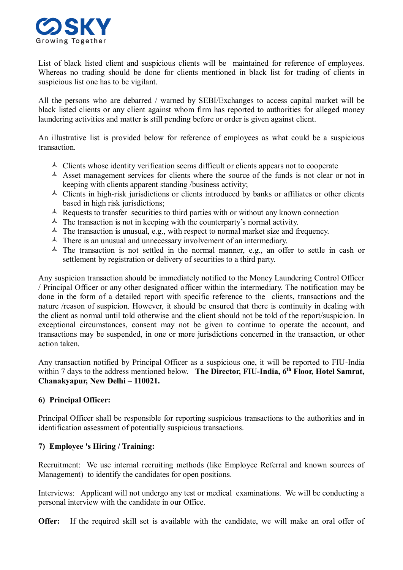

List of black listed client and suspicious clients will be maintained for reference of employees. Whereas no trading should be done for clients mentioned in black list for trading of clients in suspicious list one has to be vigilant.

All the persons who are debarred / warned by SEBI/Exchanges to access capital market will be black listed clients or any client against whom firm has reported to authorities for alleged money laundering activities and matter is still pending before or order is given against client.

An illustrative list is provided below for reference of employees as what could be a suspicious transaction.

- $\triangle$  Clients whose identity verification seems difficult or clients appears not to cooperate
- $\triangle$  Asset management services for clients where the source of the funds is not clear or not in keeping with clients apparent standing /business activity;
- $\triangle$  Clients in high-risk jurisdictions or clients introduced by banks or affiliates or other clients based in high risk jurisdictions;
- $\triangle$  Requests to transfer securities to third parties with or without any known connection
- $\triangle$  The transaction is not in keeping with the counterparty's normal activity.
- $\triangle$  The transaction is unusual, e.g., with respect to normal market size and frequency.
- $\triangle$  There is an unusual and unnecessary involvement of an intermediary.
- $\triangle$  The transaction is not settled in the normal manner, e.g., an offer to settle in cash or settlement by registration or delivery of securities to a third party.

Any suspicion transaction should be immediately notified to the Money Laundering Control Officer / Principal Officer or any other designated officer within the intermediary. The notification may be done in the form of a detailed report with specific reference to the clients, transactions and the nature /reason of suspicion. However, it should be ensured that there is continuity in dealing with the client as normal until told otherwise and the client should not be told of the report/suspicion. In exceptional circumstances, consent may not be given to continue to operate the account, and transactions may be suspended, in one or more jurisdictions concerned in the transaction, or other action taken.

Any transaction notified by Principal Officer as a suspicious one, it will be reported to FIU-India within 7 days to the address mentioned below. **The Director, FIU-India, 6th Floor, Hotel Samrat, Chanakyapur, New Delhi – 110021.** 

## **6) Principal Officer:**

Principal Officer shall be responsible for reporting suspicious transactions to the authorities and in identification assessment of potentially suspicious transactions.

# **7) Employee 's Hiring / Training:**

Recruitment: We use internal recruiting methods (like Employee Referral and known sources of Management) to identify the candidates for open positions.

Interviews: Applicant will not undergo any test or medical examinations. We will be conducting a personal interview with the candidate in our Office.

**Offer:** If the required skill set is available with the candidate, we will make an oral offer of